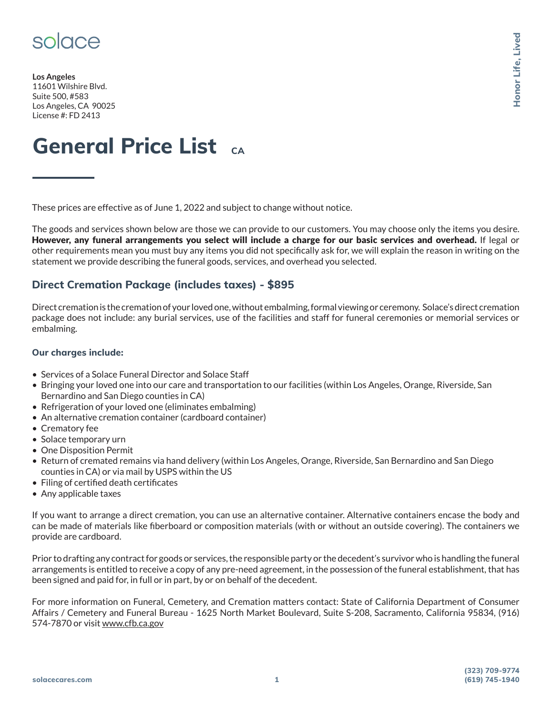

**Los Angeles** 11601 Wilshire Blvd. Suite 500, #583 Los Angeles, CA 90025 License #: FD 2413

# **General Price List CA**

These prices are effective as of June 1, 2022 and subject to change without notice.

The goods and services shown below are those we can provide to our customers. You may choose only the items you desire. However, any funeral arrangements you select will include a charge for our basic services and overhead. If legal or other requirements mean you must buy any items you did not specifically ask for, we will explain the reason in writing on the statement we provide describing the funeral goods, services, and overhead you selected. The Muslem of Started Warren<br> **(619)** 745-1940<br>
Muslem Space Containers we<br>
de, San<br>
de, San<br>
de, San<br>
de, San<br>
de, San<br>
de, San<br>
de, San<br>
de, San<br>
de, San<br>
de, San<br>
(619) 745-1940<br>
(619) 745-1940

### **Direct Cremation Package (includes taxes) - \$895**

Direct cremation is the cremation of your loved one, without embalming, formal viewing or ceremony. Solace's direct cremation package does not include: any burial services, use of the facilities and staff for funeral ceremonies or memorial services or embalming.

#### **Our charges include:**

- Services of a Solace Funeral Director and Solace Staff
- Bringing your loved one into our care and transportation to our facilities (within Los Angeles, Orange, Riverside, San Bernardino and San Diego counties in CA)
- Refrigeration of your loved one (eliminates embalming)
- An alternative cremation container (cardboard container)
- Crematory fee
- Solace temporary urn
- One Disposition Permit
- Return of cremated remains via hand delivery (within Los Angeles, Orange, Riverside, San Bernardino and San Diego counties in CA) or via mail by USPS within the US
- Filing of certified death certificates
- Any applicable taxes

If you want to arrange a direct cremation, you can use an alternative container. Alternative containers encase the body and can be made of materials like fiberboard or composition materials (with or without an outside covering). The containers we provide are cardboard.

Prior to drafting any contract for goods or services, the responsible party or the decedent's survivor who is handling the funeral arrangements is entitled to receive a copy of any pre-need agreement, in the possession of the funeral establishment, that has been signed and paid for, in full or in part, by or on behalf of the decedent.

For more information on Funeral, Cemetery, and Cremation matters contact: State of California Department of Consumer Affairs / Cemetery and Funeral Bureau - 1625 North Market Boulevard, Suite S-208, Sacramento, California 95834, (916) 574-7870 or visit www.cfb.ca.gov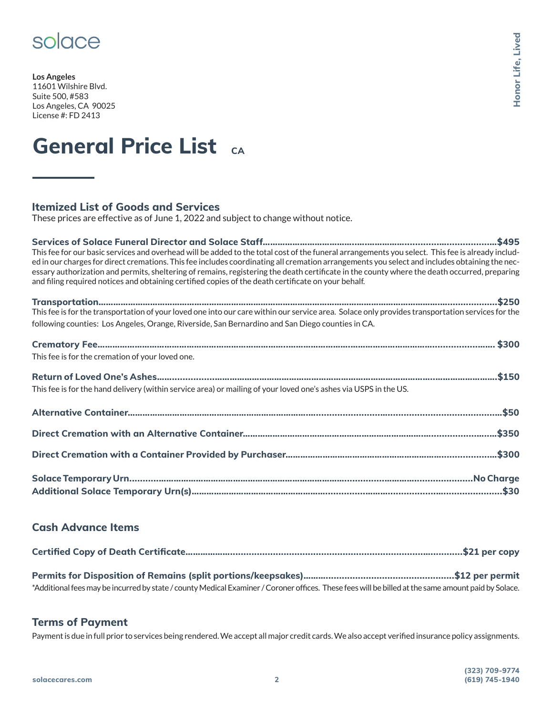### solace

**Los Angeles** 11601 Wilshire Blvd. Suite 500, #583 Los Angeles, CA 90025 License #: FD 2413

# **General Price List CA**

### **Itemized List of Goods and Services**

These prices are effective as of June 1, 2022 and subject to change without notice.

**Services of Solace Funeral Director and Solace Staff………………………………..….…………….............…................…\$495** This fee for our basic services and overhead will be added to the total cost of the funeral arrangements you select. This fee is already included in our charges for direct cremations. This fee includes coordinating all cremation arrangements you select and includes obtaining the necessary authorization and permits, sheltering of remains, registering the death certificate in the county where the death occurred, preparing and filing required notices and obtaining certified copies of the death certificate on your behalf.

| following counties: Los Angeles, Orange, Riverside, San Bernardino and San Diego counties in CA.                 |  |
|------------------------------------------------------------------------------------------------------------------|--|
|                                                                                                                  |  |
| This fee is for the cremation of your loved one.                                                                 |  |
|                                                                                                                  |  |
|                                                                                                                  |  |
| This fee is for the hand delivery (within service area) or mailing of your loved one's ashes via USPS in the US. |  |
|                                                                                                                  |  |
|                                                                                                                  |  |
|                                                                                                                  |  |
|                                                                                                                  |  |
|                                                                                                                  |  |
|                                                                                                                  |  |
|                                                                                                                  |  |
|                                                                                                                  |  |

### **Cash Advance Items**

| *Additional fees may be incurred by state / county Medical Examiner / Coroner offices. These fees will be billed at the same amount paid by Solace. |  |
|-----------------------------------------------------------------------------------------------------------------------------------------------------|--|

#### **Terms of Payment**

Payment is due in full prior to services being rendered. We accept all major credit cards. We also accept verified insurance policy assignments.